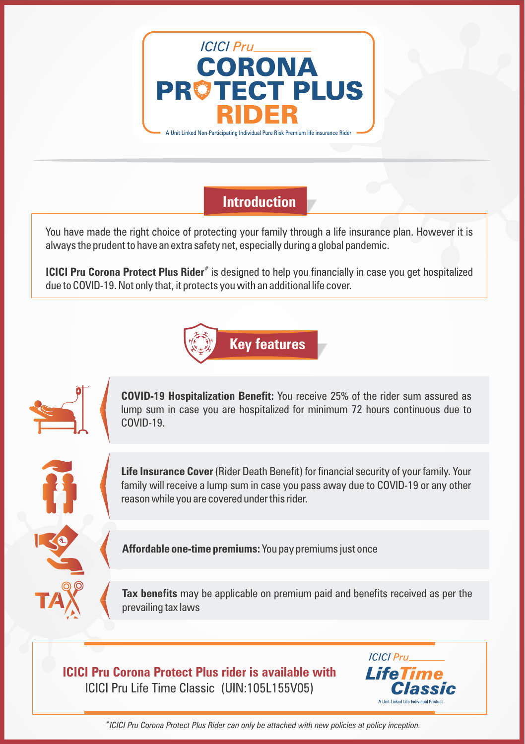

**Introduction** 

You have made the right choice of protecting your family through a life insurance plan. However it is always the prudent to have an extra safety net, especially during a global pandemic.

**ICICI Pru Corona Protect Plus Rider**<sup>#</sup> is designed to help you financially in case you get hospitalized due to COVID-19. Not only that, it protects you with an additional life cover.





**COVID-19 Hospitalization Benefit:** You receive 25% of the rider sum assured as lump sum in case you are hospitalized for minimum 72 hours continuous due to COVID-19.

**Life Insurance Cover** (Rider Death Benefit) for financial security of your family. Your family will receive a lump sum in case you pass away due to COVID-19 or any other reason while you are covered under this rider.

**Affordable one-time premiums:** You pay premiums just once

**Tax benefits** may be applicable on premium paid and benefits received as per the prevailing tax laws

**ICICI Pru Corona Protect Plus rider is available with** ICICI Pru Life Time Classic (UIN:105L155V05)



*# ICICI Pru Corona Protect Plus Rider can only be attached with new policies at policy inception.*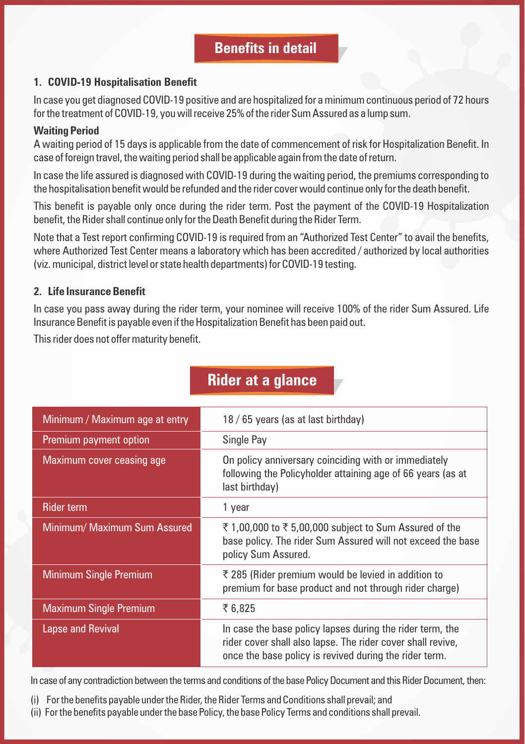## **Benefits in detail**

### **1. COVID-19 Hospitalisation Benefit**

In case you get diagnosed COVID-19 positive and are hospitalized for a minimum continuous period of 72 hours for the treatment of COVID-19, you will receive 25% of the rider Sum Assured as a lump sum.

## **Waiting Period**

A waiting period of 15 days is applicable from the date of commencement of risk for Hospitalization Benefit. In case of foreign travel, the waiting period shall be applicable again from the date of return.

In case the life assured is diagnosed with COVID-19 during the waiting period, the premiums corresponding to the hospitalisation benefit would be refunded and the rider cover would continue only for the death benefit.

This benefit is payable only once during the rider term. Post the payment of the COVID-19 Hospitalization benefit, the Rider shall continue only for the Death Benefit during the Rider Term.

Note that a Test report confirming COVID-19 is required from an "Authorized Test Center" to avail the benefits, where Authorized Test Center means a laboratory which has been accredited / authorized by local authorities (viz. municipal, district level or state health departments) for COVID-19 testing.

## **2. Life Insurance Benefit**

In case you pass away during the rider term, your nominee will receive 100% of the rider Sum Assured. Life Insurance Benefit is payable even if the Hospitalization Benefit has been paid out.

This rider does not offer maturity benefit.

| Minimum / Maximum age at entry | 18 / 65 years (as at last birthday)                                                                                                                                                |
|--------------------------------|------------------------------------------------------------------------------------------------------------------------------------------------------------------------------------|
| Premium payment option         | Single Pay                                                                                                                                                                         |
| Maximum cover ceasing age      | On policy anniversary coinciding with or immediately<br>following the Policyholder attaining age of 66 years (as at<br>last birthday)                                              |
| <b>Rider term</b>              | 1 year                                                                                                                                                                             |
| Minimum/ Maximum Sum Assured   | ₹ 1,00,000 to ₹ 5,00,000 subject to Sum Assured of the<br>base policy. The rider Sum Assured will not exceed the base<br>policy Sum Assured.                                       |
| <b>Minimum Single Premium</b>  | ₹ 285 (Rider premium would be levied in addition to<br>premium for base product and not through rider charge)                                                                      |
| <b>Maximum Single Premium</b>  | ₹6,825                                                                                                                                                                             |
| <b>Lapse and Revival</b>       | In case the base policy lapses during the rider term, the<br>rider cover shall also lapse. The rider cover shall revive,<br>once the base policy is revived during the rider term. |

# **Rider at a glance**

In case of any contradiction between the terms and conditions of the base Policy Document and this Rider Document, then:

- (i) For the benefits payable under the Rider, the Rider Terms and Conditions shall prevail; and
- (ii) For the benefits payable under the base Policy, the base Policy Terms and conditions shall prevail.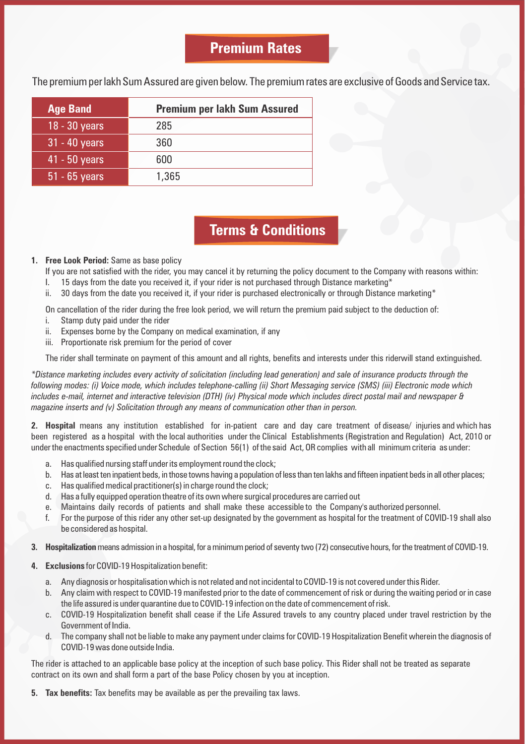# **Premium Rates**

The premium per lakh Sum Assured are given below. The premium rates are exclusive of Goods and Service tax.

| <b>Age Band</b> | <b>Premium per lakh Sum Assured</b> |
|-----------------|-------------------------------------|
| $18 - 30$ years | 285                                 |
| $31 - 40$ years | 360                                 |
| 41 - 50 years   | 600                                 |
| $51 - 65$ years | 1,365                               |

# **Terms & Conditions**

### **1. Free Look Period:** Same as base policy

- If you are not satisfied with the rider, you may cancel it by returning the policy document to the Company with reasons within:<br>I. 15 days from the date you received it, if your rider is not purchased through Distance mark
- I. 15 days from the date you received it, if your rider is not purchased through Distance marketing\*<br>ii. 30 days from the date you received it, if your rider is purchased electronically or through Distance
- $30$  days from the date you received it, if your rider is purchased electronically or through Distance marketing\*

On cancellation of the rider during the free look period, we will return the premium paid subject to the deduction of:

- i. Stamp duty paid under the rider
- ii. Expenses borne by the Company on medical examination, if any
- iii. Proportionate risk premium for the period of cover

The rider shall terminate on payment of this amount and all rights, benefits and interests under this riderwill stand extinguished.

*\*Distance marketing includes every activity of solicitation (including lead generation) and sale of insurance products through the following modes: (i) Voice mode, which includes telephone-calling (ii) Short Messaging service (SMS) (iii) Electronic mode which includes e-mail, internet and interactive television (DTH) (iv) Physical mode which includes direct postal mail and newspaper & magazine inserts and (v) Solicitation through any means of communication other than in person.*

**2. Hospital** means any institution established for in-patient care and day care treatment of disease/ injuries and which has been registered as a hospital with the local authorities under the Clinical Establishments (Registration and Regulation) Act, 2010 or under the enactments specified under Schedule of Section 56(1) of the said Act, OR complies with all minimum criteria as under:

- a. Has qualified nursing staff under its employment round the clock;
- b. Has at least ten inpatient beds, in those towns having a population of less than ten lakhs and fifteen inpatient beds in all other places;
- c. Has qualified medical practitioner(s) in charge round the clock;
- d. Has a fully equipped operation theatre of its own where surgical procedures are carried out
- e. Maintains daily records of patients and shall make these accessible to the Company's authorized personnel.
- f. For the purpose of this rider any other set-up designated by the government as hospital for the treatment of COVID-19 shall also be considered as hospital.
- **3. Hospitalization**means admission in a hospital, for a minimum period of seventy two (72) consecutive hours, for the treatment of COVID-19.
- **4. Exclusions** for COVID-19 Hospitalization benefit:
	- a. Any diagnosis or hospitalisation which is not related and not incidental to COVID-19 is not covered under this Rider.
	- b. Any claim with respect to COVID-19 manifested prior to the date of commencement of risk or during the waiting period or in case the life assured is under quarantine due to COVID-19 infection on the date of commencement of risk.
	- c. COVID-19 Hospitalization benefit shall cease if the Life Assured travels to any country placed under travel restriction by the Government of India.
	- d. The company shall not be liable to make any payment under claims for COVID-19 Hospitalization Benefit wherein the diagnosis of COVID-19 was done outside India.

The rider is attached to an applicable base policy at the inception of such base policy. This Rider shall not be treated as separate contract on its own and shall form a part of the base Policy chosen by you at inception.

**5. Tax benefits:** Tax benefits may be available as per the prevailing tax laws.